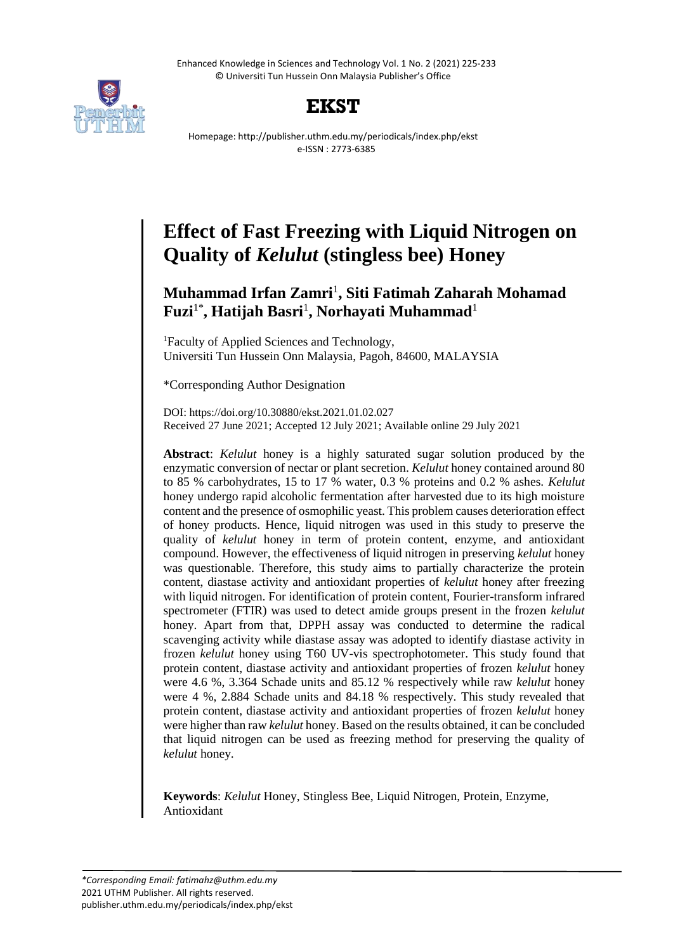Enhanced Knowledge in Sciences and Technology Vol. 1 No. 2 (2021) 225-233 © Universiti Tun Hussein Onn Malaysia Publisher's Office





Homepage: http://publisher.uthm.edu.my/periodicals/index.php/ekst e-ISSN : 2773-6385

# **Effect of Fast Freezing with Liquid Nitrogen on Quality of** *Kelulut* **(stingless bee) Honey**

## **Muhammad Irfan Zamri**<sup>1</sup> **, Siti Fatimah Zaharah Mohamad**   $\mathbf{F}\mathbf{u}\mathbf{z}\mathbf{i}^{1\ast}$ , **Hatijah Basri<sup>1</sup>, Norhayati Muhammad**<sup>1</sup>

<sup>1</sup>Faculty of Applied Sciences and Technology, Universiti Tun Hussein Onn Malaysia, Pagoh, 84600, MALAYSIA

\*Corresponding Author Designation

DOI: https://doi.org/10.30880/ekst.2021.01.02.027 Received 27 June 2021; Accepted 12 July 2021; Available online 29 July 2021

**Abstract**: *Kelulut* honey is a highly saturated sugar solution produced by the enzymatic conversion of nectar or plant secretion. *Kelulut* honey contained around 80 to 85 % carbohydrates, 15 to 17 % water, 0.3 % proteins and 0.2 % ashes. *Kelulut* honey undergo rapid alcoholic fermentation after harvested due to its high moisture content and the presence of osmophilic yeast. This problem causes deterioration effect of honey products. Hence, liquid nitrogen was used in this study to preserve the quality of *kelulut* honey in term of protein content, enzyme, and antioxidant compound. However, the effectiveness of liquid nitrogen in preserving *kelulut* honey was questionable. Therefore, this study aims to partially characterize the protein content, diastase activity and antioxidant properties of *kelulut* honey after freezing with liquid nitrogen. For identification of protein content, Fourier-transform infrared spectrometer (FTIR) was used to detect amide groups present in the frozen *kelulut* honey. Apart from that, DPPH assay was conducted to determine the radical scavenging activity while diastase assay was adopted to identify diastase activity in frozen *kelulut* honey using T60 UV-vis spectrophotometer. This study found that protein content, diastase activity and antioxidant properties of frozen *kelulut* honey were 4.6 %, 3.364 Schade units and 85.12 % respectively while raw *kelulut* honey were 4 %, 2.884 Schade units and 84.18 % respectively. This study revealed that protein content, diastase activity and antioxidant properties of frozen *kelulut* honey were higher than raw *kelulut* honey. Based on the results obtained, it can be concluded that liquid nitrogen can be used as freezing method for preserving the quality of *kelulut* honey.

**Keywords**: *Kelulut* Honey, Stingless Bee, Liquid Nitrogen, Protein, Enzyme, Antioxidant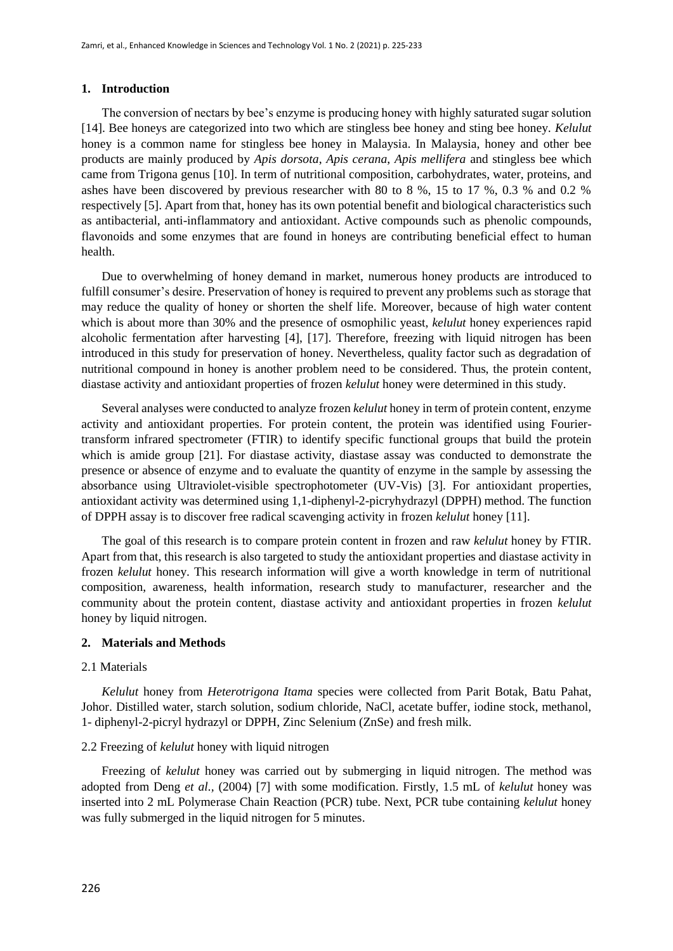## **1. Introduction**

The conversion of nectars by bee's enzyme is producing honey with highly saturated sugar solution [14]. Bee honeys are categorized into two which are stingless bee honey and sting bee honey. *Kelulut* honey is a common name for stingless bee honey in Malaysia. In Malaysia, honey and other bee products are mainly produced by *Apis dorsota*, *Apis cerana*, *Apis mellifera* and stingless bee which came from Trigona genus [10]. In term of nutritional composition, carbohydrates, water, proteins, and ashes have been discovered by previous researcher with 80 to 8 %, 15 to 17 %, 0.3 % and 0.2 % respectively [5]. Apart from that, honey has its own potential benefit and biological characteristics such as antibacterial, anti-inflammatory and antioxidant. Active compounds such as phenolic compounds, flavonoids and some enzymes that are found in honeys are contributing beneficial effect to human health.

Due to overwhelming of honey demand in market, numerous honey products are introduced to fulfill consumer's desire. Preservation of honey is required to prevent any problems such as storage that may reduce the quality of honey or shorten the shelf life. Moreover, because of high water content which is about more than 30% and the presence of osmophilic yeast, *kelulut* honey experiences rapid alcoholic fermentation after harvesting [4], [17]. Therefore, freezing with liquid nitrogen has been introduced in this study for preservation of honey. Nevertheless, quality factor such as degradation of nutritional compound in honey is another problem need to be considered. Thus, the protein content, diastase activity and antioxidant properties of frozen *kelulut* honey were determined in this study.

Several analyses were conducted to analyze frozen *kelulut* honey in term of protein content, enzyme activity and antioxidant properties. For protein content, the protein was identified using Fouriertransform infrared spectrometer (FTIR) to identify specific functional groups that build the protein which is amide group [21]. For diastase activity, diastase assay was conducted to demonstrate the presence or absence of enzyme and to evaluate the quantity of enzyme in the sample by assessing the absorbance using Ultraviolet-visible spectrophotometer (UV-Vis) [3]. For antioxidant properties, antioxidant activity was determined using 1,1-diphenyl-2-picryhydrazyl (DPPH) method. The function of DPPH assay is to discover free radical scavenging activity in frozen *kelulut* honey [11].

The goal of this research is to compare protein content in frozen and raw *kelulut* honey by FTIR. Apart from that, this research is also targeted to study the antioxidant properties and diastase activity in frozen *kelulut* honey. This research information will give a worth knowledge in term of nutritional composition, awareness, health information, research study to manufacturer, researcher and the community about the protein content, diastase activity and antioxidant properties in frozen *kelulut* honey by liquid nitrogen.

## **2. Materials and Methods**

## 2.1 Materials

*Kelulut* honey from *Heterotrigona Itama* species were collected from Parit Botak, Batu Pahat, Johor. Distilled water, starch solution, sodium chloride, NaCl, acetate buffer, iodine stock, methanol, 1- diphenyl-2-picryl hydrazyl or DPPH, Zinc Selenium (ZnSe) and fresh milk.

## 2.2 Freezing of *kelulut* honey with liquid nitrogen

Freezing of *kelulut* honey was carried out by submerging in liquid nitrogen. The method was adopted from Deng *et al.,* (2004) [7] with some modification. Firstly, 1.5 mL of *kelulut* honey was inserted into 2 mL Polymerase Chain Reaction (PCR) tube. Next, PCR tube containing *kelulut* honey was fully submerged in the liquid nitrogen for 5 minutes.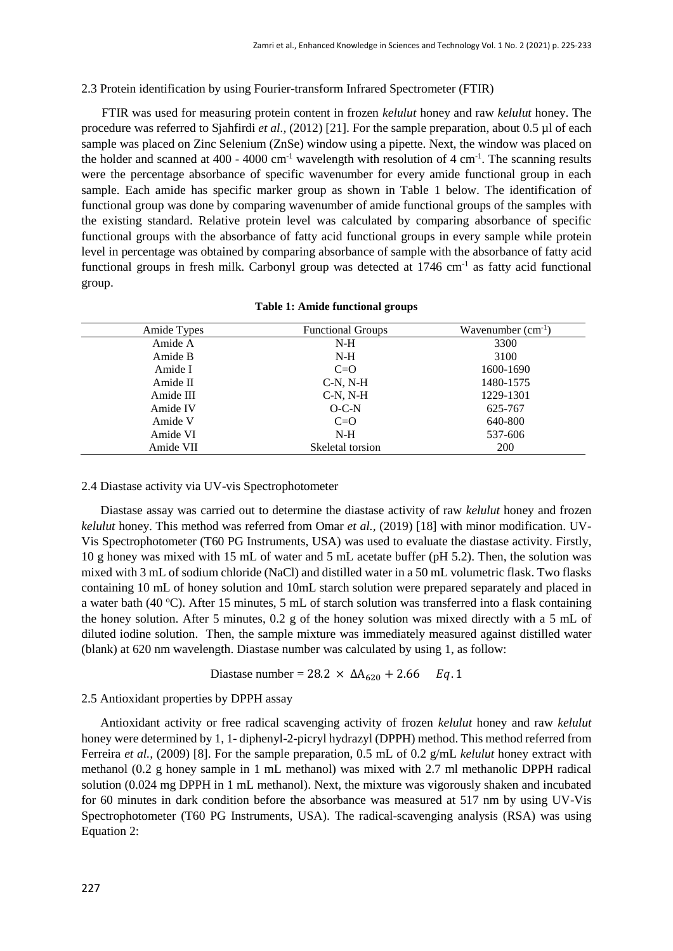## 2.3 Protein identification by using Fourier-transform Infrared Spectrometer (FTIR)

FTIR was used for measuring protein content in frozen *kelulut* honey and raw *kelulut* honey. The procedure was referred to Sjahfirdi *et al.*, (2012) [21]. For the sample preparation, about 0.5 µl of each sample was placed on Zinc Selenium (ZnSe) window using a pipette. Next, the window was placed on the holder and scanned at  $400 - 4000$  cm<sup>-1</sup> wavelength with resolution of  $4 \text{ cm}^{-1}$ . The scanning results were the percentage absorbance of specific wavenumber for every amide functional group in each sample. Each amide has specific marker group as shown in Table 1 below. The identification of functional group was done by comparing wavenumber of amide functional groups of the samples with the existing standard. Relative protein level was calculated by comparing absorbance of specific functional groups with the absorbance of fatty acid functional groups in every sample while protein level in percentage was obtained by comparing absorbance of sample with the absorbance of fatty acid functional groups in fresh milk. Carbonyl group was detected at 1746 cm<sup>-1</sup> as fatty acid functional group.

| Amide Types | <b>Functional Groups</b> | Wavenumber $(cm^{-1})$ |  |
|-------------|--------------------------|------------------------|--|
| Amide A     | $N-H$                    | 3300                   |  |
| Amide B     | $N-H$                    | 3100                   |  |
| Amide I     | $C=O$                    | 1600-1690              |  |
| Amide II    | $C-N, N-H$               | 1480-1575              |  |
| Amide III   | $C-N, N-H$               | 1229-1301              |  |
| Amide IV    | $O-C-N$                  | 625-767                |  |
| Amide V     | $C=O$                    | 640-800                |  |
| Amide VI    | $N-H$                    | 537-606                |  |
| Amide VII   | Skeletal torsion         | <b>200</b>             |  |

|  |  |  | <b>Table 1: Amide functional groups</b> |  |
|--|--|--|-----------------------------------------|--|
|--|--|--|-----------------------------------------|--|

## 2.4 Diastase activity via UV-vis Spectrophotometer

Diastase assay was carried out to determine the diastase activity of raw *kelulut* honey and frozen *kelulut* honey. This method was referred from Omar *et al.,* (2019) [18] with minor modification. UV-Vis Spectrophotometer (T60 PG Instruments, USA) was used to evaluate the diastase activity. Firstly, 10 g honey was mixed with 15 mL of water and 5 mL acetate buffer (pH 5.2). Then, the solution was mixed with 3 mL of sodium chloride (NaCl) and distilled water in a 50 mL volumetric flask. Two flasks containing 10 mL of honey solution and 10mL starch solution were prepared separately and placed in a water bath (40 °C). After 15 minutes, 5 mL of starch solution was transferred into a flask containing the honey solution. After 5 minutes, 0.2 g of the honey solution was mixed directly with a 5 mL of diluted iodine solution. Then, the sample mixture was immediately measured against distilled water (blank) at 620 nm wavelength. Diastase number was calculated by using 1, as follow:

Diastase number = 28.2  $\times$   $\Delta A_{620}$  + 2.66  $Eq$ .1

## 2.5 Antioxidant properties by DPPH assay

Antioxidant activity or free radical scavenging activity of frozen *kelulut* honey and raw *kelulut* honey were determined by 1, 1- diphenyl-2-picryl hydrazyl (DPPH) method. This method referred from Ferreira *et al.,* (2009) [8]. For the sample preparation, 0.5 mL of 0.2 g/mL *kelulut* honey extract with methanol (0.2 g honey sample in 1 mL methanol) was mixed with 2.7 ml methanolic DPPH radical solution (0.024 mg DPPH in 1 mL methanol). Next, the mixture was vigorously shaken and incubated for 60 minutes in dark condition before the absorbance was measured at 517 nm by using UV-Vis Spectrophotometer (T60 PG Instruments, USA). The radical-scavenging analysis (RSA) was using Equation 2: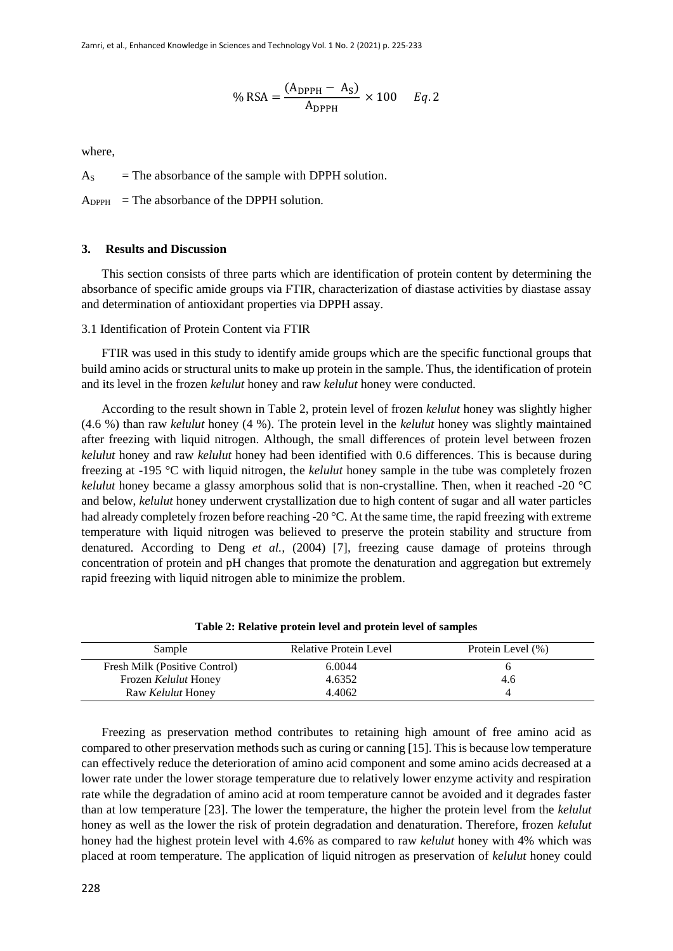$$
\% \text{ RSA} = \frac{(A_{\text{DPPH}} - A_{\text{S}})}{A_{\text{DPPH}}} \times 100 \qquad Eq. 2
$$

where,

 $A<sub>S</sub>$  = The absorbance of the sample with DPPH solution.

 $A_{\text{DPPH}}$  = The absorbance of the DPPH solution.

## **3. Results and Discussion**

This section consists of three parts which are identification of protein content by determining the absorbance of specific amide groups via FTIR, characterization of diastase activities by diastase assay and determination of antioxidant properties via DPPH assay.

#### 3.1 Identification of Protein Content via FTIR

FTIR was used in this study to identify amide groups which are the specific functional groups that build amino acids or structural units to make up protein in the sample. Thus, the identification of protein and its level in the frozen *kelulut* honey and raw *kelulut* honey were conducted.

According to the result shown in Table 2, protein level of frozen *kelulut* honey was slightly higher (4.6 %) than raw *kelulut* honey (4 %). The protein level in the *kelulut* honey was slightly maintained after freezing with liquid nitrogen. Although, the small differences of protein level between frozen *kelulut* honey and raw *kelulut* honey had been identified with 0.6 differences. This is because during freezing at -195 °C with liquid nitrogen, the *kelulut* honey sample in the tube was completely frozen *kelulut* honey became a glassy amorphous solid that is non-crystalline. Then, when it reached -20 °C and below, *kelulut* honey underwent crystallization due to high content of sugar and all water particles had already completely frozen before reaching -20 °C. At the same time, the rapid freezing with extreme temperature with liquid nitrogen was believed to preserve the protein stability and structure from denatured. According to Deng *et al.,* (2004) [7], freezing cause damage of proteins through concentration of protein and pH changes that promote the denaturation and aggregation but extremely rapid freezing with liquid nitrogen able to minimize the problem.

| Sample                        | Relative Protein Level | Protein Level (%) |
|-------------------------------|------------------------|-------------------|
| Fresh Milk (Positive Control) | 6.0044                 |                   |
| Frozen Kelulut Honey          | 4.6352                 | 4.6               |
| Raw <i>Kelulut</i> Honey      | 4.4062                 |                   |

**Table 2: Relative protein level and protein level of samples**

Freezing as preservation method contributes to retaining high amount of free amino acid as compared to other preservation methods such as curing or canning [15]. This is because low temperature can effectively reduce the deterioration of amino acid component and some amino acids decreased at a lower rate under the lower storage temperature due to relatively lower enzyme activity and respiration rate while the degradation of amino acid at room temperature cannot be avoided and it degrades faster than at low temperature [23]. The lower the temperature, the higher the protein level from the *kelulut*  honey as well as the lower the risk of protein degradation and denaturation. Therefore, frozen *kelulut* honey had the highest protein level with 4.6% as compared to raw *kelulut* honey with 4% which was placed at room temperature. The application of liquid nitrogen as preservation of *kelulut* honey could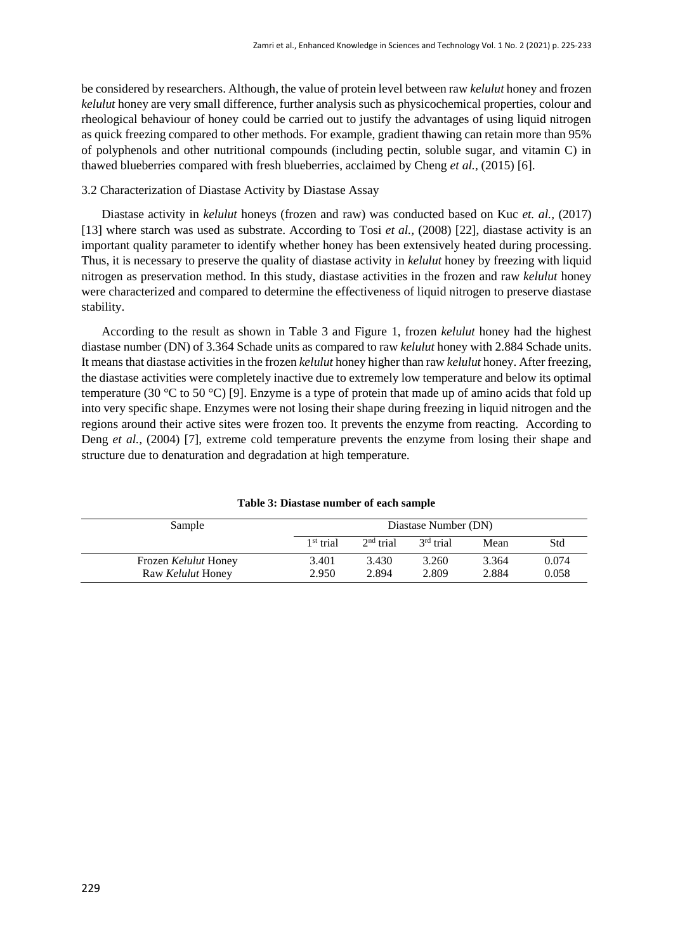be considered by researchers. Although, the value of protein level between raw *kelulut* honey and frozen *kelulut* honey are very small difference, further analysis such as physicochemical properties, colour and rheological behaviour of honey could be carried out to justify the advantages of using liquid nitrogen as quick freezing compared to other methods. For example, gradient thawing can retain more than 95% of polyphenols and other nutritional compounds (including pectin, soluble sugar, and vitamin C) in thawed blueberries compared with fresh blueberries, acclaimed by Cheng *et al.,* (2015) [6].

## 3.2 Characterization of Diastase Activity by Diastase Assay

Diastase activity in *kelulut* honeys (frozen and raw) was conducted based on Kuc *et. al.,* (2017) [13] where starch was used as substrate. According to Tosi *et al.*, (2008) [22], diastase activity is an important quality parameter to identify whether honey has been extensively heated during processing. Thus, it is necessary to preserve the quality of diastase activity in *kelulut* honey by freezing with liquid nitrogen as preservation method. In this study, diastase activities in the frozen and raw *kelulut* honey were characterized and compared to determine the effectiveness of liquid nitrogen to preserve diastase stability.

According to the result as shown in Table 3 and Figure 1, frozen *kelulut* honey had the highest diastase number (DN) of 3.364 Schade units as compared to raw *kelulut* honey with 2.884 Schade units. It means that diastase activities in the frozen *kelulut* honey higher than raw *kelulut* honey. After freezing, the diastase activities were completely inactive due to extremely low temperature and below its optimal temperature (30 °C to 50 °C) [9]. Enzyme is a type of protein that made up of amino acids that fold up into very specific shape. Enzymes were not losing their shape during freezing in liquid nitrogen and the regions around their active sites were frozen too. It prevents the enzyme from reacting. According to Deng *et al.,* (2004) [7], extreme cold temperature prevents the enzyme from losing their shape and structure due to denaturation and degradation at high temperature.

| Sample                   | Diastase Number (DN) |             |             |       |       |
|--------------------------|----------------------|-------------|-------------|-------|-------|
|                          | $1st$ trial          | $2nd$ trial | $3rd$ trial | Mean  | Std   |
| Frozen Kelulut Honey     | 3.401                | 3.430       | 3.260       | 3.364 | 0.074 |
| Raw <i>Kelulut</i> Honey | 2.950                | 2.894       | 2.809       | 2.884 | 0.058 |

**Table 3: Diastase number of each sample**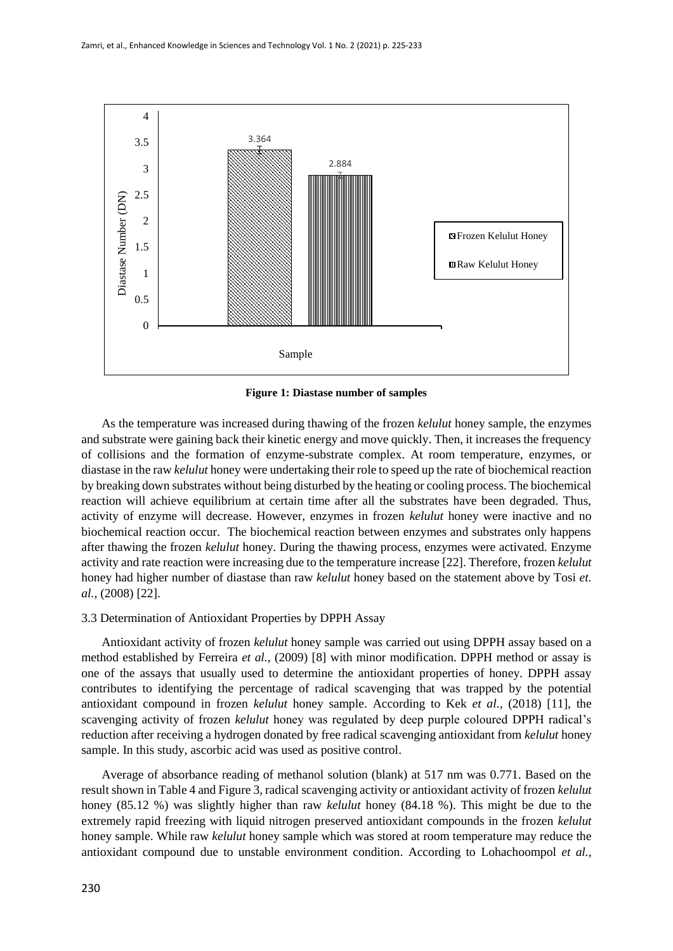

**Figure 1: Diastase number of samples**

As the temperature was increased during thawing of the frozen *kelulut* honey sample, the enzymes and substrate were gaining back their kinetic energy and move quickly. Then, it increases the frequency of collisions and the formation of enzyme-substrate complex. At room temperature, enzymes, or diastase in the raw *kelulut* honey were undertaking their role to speed up the rate of biochemical reaction by breaking down substrates without being disturbed by the heating or cooling process. The biochemical reaction will achieve equilibrium at certain time after all the substrates have been degraded. Thus, activity of enzyme will decrease. However, enzymes in frozen *kelulut* honey were inactive and no biochemical reaction occur. The biochemical reaction between enzymes and substrates only happens after thawing the frozen *kelulut* honey. During the thawing process, enzymes were activated. Enzyme activity and rate reaction were increasing due to the temperature increase [22]. Therefore, frozen *kelulut* honey had higher number of diastase than raw *kelulut* honey based on the statement above by Tosi *et. al.,* (2008) [22].

## 3.3 Determination of Antioxidant Properties by DPPH Assay

Antioxidant activity of frozen *kelulut* honey sample was carried out using DPPH assay based on a method established by Ferreira *et al.,* (2009) [8] with minor modification. DPPH method or assay is one of the assays that usually used to determine the antioxidant properties of honey. DPPH assay contributes to identifying the percentage of radical scavenging that was trapped by the potential antioxidant compound in frozen *kelulut* honey sample. According to Kek *et al.,* (2018) [11], the scavenging activity of frozen *kelulut* honey was regulated by deep purple coloured DPPH radical's reduction after receiving a hydrogen donated by free radical scavenging antioxidant from *kelulut* honey sample. In this study, ascorbic acid was used as positive control.

Average of absorbance reading of methanol solution (blank) at 517 nm was 0.771. Based on the result shown in Table 4 and Figure 3, radical scavenging activity or antioxidant activity of frozen *kelulut*  honey (85.12 %) was slightly higher than raw *kelulut* honey (84.18 %). This might be due to the extremely rapid freezing with liquid nitrogen preserved antioxidant compounds in the frozen *kelulut*  honey sample. While raw *kelulut* honey sample which was stored at room temperature may reduce the antioxidant compound due to unstable environment condition. According to Lohachoompol *et al.,*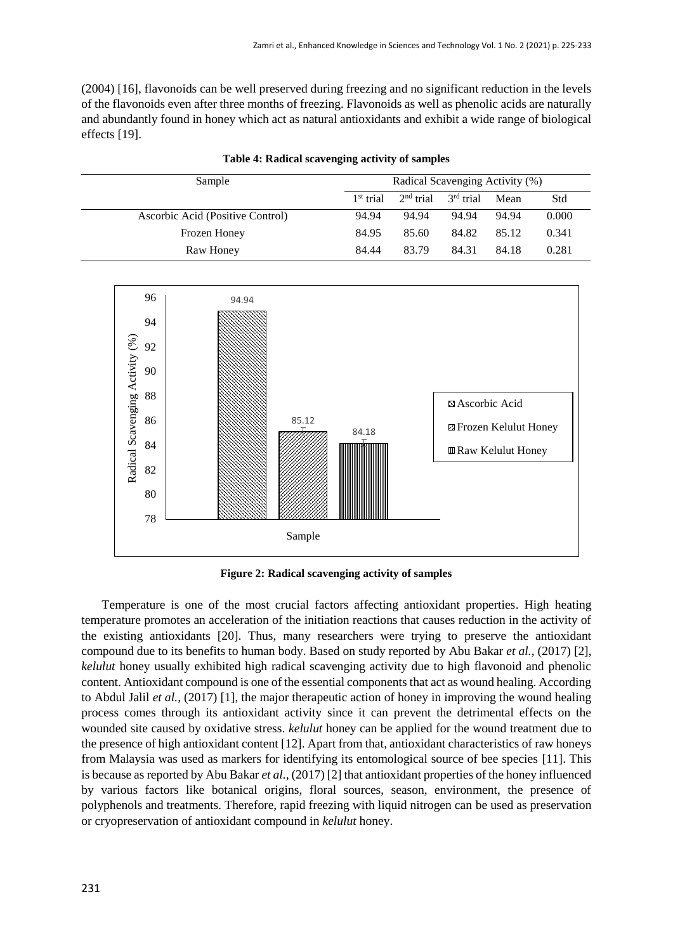(2004) [16], flavonoids can be well preserved during freezing and no significant reduction in the levels of the flavonoids even after three months of freezing. Flavonoids as well as phenolic acids are naturally and abundantly found in honey which act as natural antioxidants and exhibit a wide range of biological effects [19].

| Sample                           | Radical Scavenging Activity (%) |             |                       |       |       |
|----------------------------------|---------------------------------|-------------|-----------------------|-------|-------|
|                                  | $1st$ trial                     | $2nd$ trial | 3 <sup>rd</sup> trial | Mean  | Std   |
| Ascorbic Acid (Positive Control) | 94.94                           | 94.94       | 94.94                 | 94.94 | 0.000 |
| Frozen Honey                     | 84.95                           | 85.60       | 84.82                 | 85.12 | 0.341 |
| Raw Honey                        | 84.44                           | 83.79       | 84.31                 | 84.18 | 0.281 |

**Table 4: Radical scavenging activity of samples**



**Figure 2: Radical scavenging activity of samples**

Temperature is one of the most crucial factors affecting antioxidant properties. High heating temperature promotes an acceleration of the initiation reactions that causes reduction in the activity of the existing antioxidants [20]. Thus, many researchers were trying to preserve the antioxidant compound due to its benefits to human body. Based on study reported by Abu Bakar *et al.,* (2017) [2], *kelulut* honey usually exhibited high radical scavenging activity due to high flavonoid and phenolic content. Antioxidant compound is one of the essential components that act as wound healing. According to Abdul Jalil *et al.,* (2017) [1], the major therapeutic action of honey in improving the wound healing process comes through its antioxidant activity since it can prevent the detrimental effects on the wounded site caused by oxidative stress. *kelulut* honey can be applied for the wound treatment due to the presence of high antioxidant content [12]. Apart from that, antioxidant characteristics of raw honeys from Malaysia was used as markers for identifying its entomological source of bee species [11]. This is because as reported by Abu Bakar *et al.,* (2017) [2] that antioxidant properties of the honey influenced by various factors like botanical origins, floral sources, season, environment, the presence of polyphenols and treatments. Therefore, rapid freezing with liquid nitrogen can be used as preservation or cryopreservation of antioxidant compound in *kelulut* honey.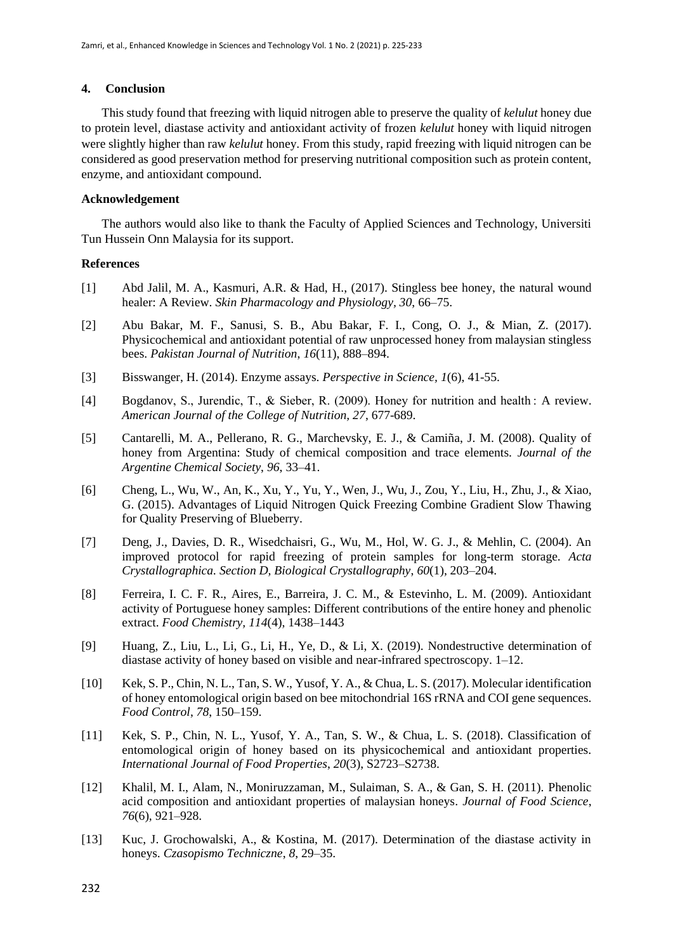## **4. Conclusion**

This study found that freezing with liquid nitrogen able to preserve the quality of *kelulut* honey due to protein level, diastase activity and antioxidant activity of frozen *kelulut* honey with liquid nitrogen were slightly higher than raw *kelulut* honey. From this study, rapid freezing with liquid nitrogen can be considered as good preservation method for preserving nutritional composition such as protein content, enzyme, and antioxidant compound.

## **Acknowledgement**

The authors would also like to thank the Faculty of Applied Sciences and Technology, Universiti Tun Hussein Onn Malaysia for its support.

#### **References**

- [1] Abd Jalil, M. A., Kasmuri, A.R. & Had, H., (2017). Stingless bee honey, the natural wound healer: A Review. *Skin Pharmacology and Physiology, 30*, 66–75.
- [2] Abu Bakar, M. F., Sanusi, S. B., Abu Bakar, F. I., Cong, O. J., & Mian, Z. (2017). Physicochemical and antioxidant potential of raw unprocessed honey from malaysian stingless bees. *Pakistan Journal of Nutrition*, *16*(11), 888–894.
- [3] Bisswanger, H. (2014). Enzyme assays. *Perspective in Science, 1*(6), 41-55.
- [4] Bogdanov, S., Jurendic, T., & Sieber, R. (2009). Honey for nutrition and health : A review. *American Journal of the College of Nutrition, 27*, 677-689.
- [5] Cantarelli, M. A., Pellerano, R. G., Marchevsky, E. J., & Camiña, J. M. (2008). Quality of honey from Argentina: Study of chemical composition and trace elements. *Journal of the Argentine Chemical Society*, *96*, 33–41.
- [6] Cheng, L., Wu, W., An, K., Xu, Y., Yu, Y., Wen, J., Wu, J., Zou, Y., Liu, H., Zhu, J., & Xiao, G. (2015). Advantages of Liquid Nitrogen Quick Freezing Combine Gradient Slow Thawing for Quality Preserving of Blueberry.
- [7] Deng, J., Davies, D. R., Wisedchaisri, G., Wu, M., Hol, W. G. J., & Mehlin, C. (2004). An improved protocol for rapid freezing of protein samples for long-term storage. *Acta Crystallographica. Section D, Biological Crystallography*, *60*(1), 203–204.
- [8] Ferreira, I. C. F. R., Aires, E., Barreira, J. C. M., & Estevinho, L. M. (2009). Antioxidant activity of Portuguese honey samples: Different contributions of the entire honey and phenolic extract. *Food Chemistry, 114*(4), 1438–1443
- [9] Huang, Z., Liu, L., Li, G., Li, H., Ye, D., & Li, X. (2019). Nondestructive determination of diastase activity of honey based on visible and near-infrared spectroscopy. 1–12.
- [10] Kek, S. P., Chin, N. L., Tan, S. W., Yusof, Y. A., & Chua, L. S. (2017). Molecular identification of honey entomological origin based on bee mitochondrial 16S rRNA and COI gene sequences. *Food Control*, *78*, 150–159.
- [11] Kek, S. P., Chin, N. L., Yusof, Y. A., Tan, S. W., & Chua, L. S. (2018). Classification of entomological origin of honey based on its physicochemical and antioxidant properties. *International Journal of Food Properties*, *20*(3), S2723–S2738.
- [12] Khalil, M. I., Alam, N., Moniruzzaman, M., Sulaiman, S. A., & Gan, S. H. (2011). Phenolic acid composition and antioxidant properties of malaysian honeys. *Journal of Food Science*, *76*(6), 921–928.
- [13] Kuc, J. Grochowalski, A., & Kostina, M. (2017). Determination of the diastase activity in honeys. *Czasopismo Techniczne*, *8*, 29–35.